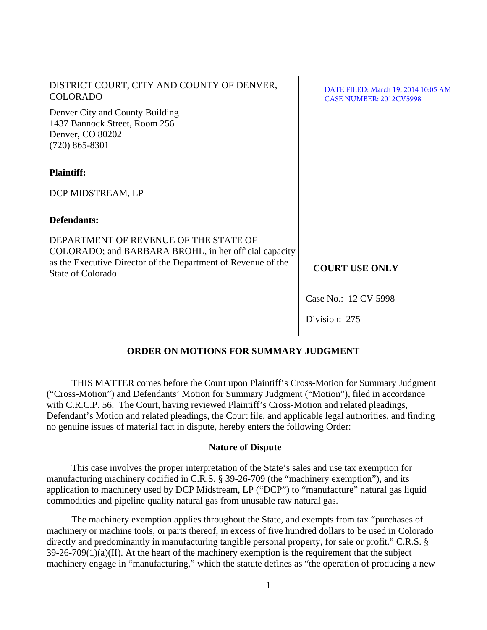| DISTRICT COURT, CITY AND COUNTY OF DENVER,<br><b>COLORADO</b>                                            | DATE FILED: March 19, 2014 10:05 AM<br><b>CASE NUMBER: 2012CV5998</b> |  |
|----------------------------------------------------------------------------------------------------------|-----------------------------------------------------------------------|--|
| Denver City and County Building<br>1437 Bannock Street, Room 256<br>Denver, CO 80202<br>$(720)$ 865-8301 |                                                                       |  |
| <b>Plaintiff:</b>                                                                                        |                                                                       |  |
| DCP MIDSTREAM, LP                                                                                        |                                                                       |  |
| <b>Defendants:</b>                                                                                       |                                                                       |  |
| DEPARTMENT OF REVENUE OF THE STATE OF<br>COLORADO; and BARBARA BROHL, in her official capacity           |                                                                       |  |
| as the Executive Director of the Department of Revenue of the<br><b>State of Colorado</b>                | <b>COURT USE ONLY</b>                                                 |  |
|                                                                                                          | Case No.: 12 CV 5998                                                  |  |
|                                                                                                          | Division: 275                                                         |  |
| <b>ORDER ON MOTIONS FOR SUMMARY JUDGMENT</b>                                                             |                                                                       |  |

THIS MATTER comes before the Court upon Plaintiff's Cross-Motion for Summary Judgment ("Cross-Motion") and Defendants' Motion for Summary Judgment ("Motion"), filed in accordance with C.R.C.P. 56. The Court, having reviewed Plaintiff's Cross-Motion and related pleadings, Defendant's Motion and related pleadings, the Court file, and applicable legal authorities, and finding no genuine issues of material fact in dispute, hereby enters the following Order:

# **Nature of Dispute**

This case involves the proper interpretation of the State's sales and use tax exemption for manufacturing machinery codified in C.R.S. § 39-26-709 (the "machinery exemption"), and its application to machinery used by DCP Midstream, LP ("DCP") to "manufacture" natural gas liquid commodities and pipeline quality natural gas from unusable raw natural gas.

The machinery exemption applies throughout the State, and exempts from tax "purchases of machinery or machine tools, or parts thereof, in excess of five hundred dollars to be used in Colorado directly and predominantly in manufacturing tangible personal property, for sale or profit." C.R.S. §  $39-26-709(1)(a)(II)$ . At the heart of the machinery exemption is the requirement that the subject machinery engage in "manufacturing," which the statute defines as "the operation of producing a new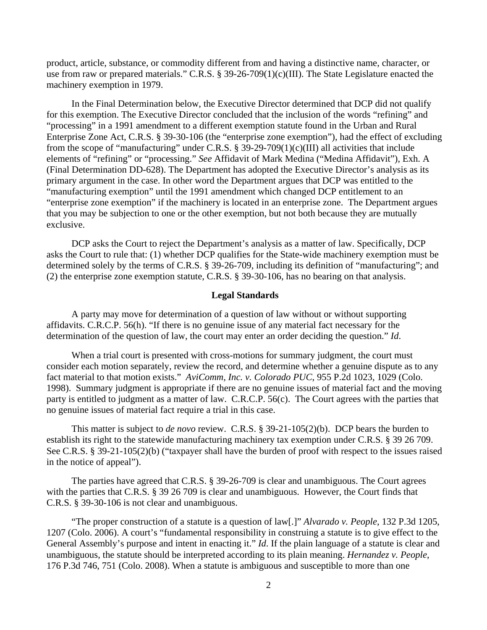product, article, substance, or commodity different from and having a distinctive name, character, or use from raw or prepared materials." C.R.S. § 39-26-709(1)(c)(III). The State Legislature enacted the machinery exemption in 1979.

In the Final Determination below, the Executive Director determined that DCP did not qualify for this exemption. The Executive Director concluded that the inclusion of the words "refining" and "processing" in a 1991 amendment to a different exemption statute found in the Urban and Rural Enterprise Zone Act, C.R.S. § 39-30-106 (the "enterprise zone exemption"), had the effect of excluding from the scope of "manufacturing" under C.R.S. § 39-29-709(1)(c)(III) all activities that include elements of "refining" or "processing." *See* Affidavit of Mark Medina ("Medina Affidavit"), Exh. A (Final Determination DD-628). The Department has adopted the Executive Director's analysis as its primary argument in the case. In other word the Department argues that DCP was entitled to the "manufacturing exemption" until the 1991 amendment which changed DCP entitlement to an "enterprise zone exemption" if the machinery is located in an enterprise zone. The Department argues that you may be subjection to one or the other exemption, but not both because they are mutually exclusive.

DCP asks the Court to reject the Department's analysis as a matter of law. Specifically, DCP asks the Court to rule that: (1) whether DCP qualifies for the State-wide machinery exemption must be determined solely by the terms of C.R.S. § 39-26-709, including its definition of "manufacturing"; and (2) the enterprise zone exemption statute, C.R.S. § 39-30-106, has no bearing on that analysis.

#### **Legal Standards**

A party may move for determination of a question of law without or without supporting affidavits. C.R.C.P. 56(h). "If there is no genuine issue of any material fact necessary for the determination of the question of law, the court may enter an order deciding the question." *Id*.

When a trial court is presented with cross-motions for summary judgment, the court must consider each motion separately, review the record, and determine whether a genuine dispute as to any fact material to that motion exists." *AviComm, Inc. v. Colorado PUC*, 955 P.2d 1023, 1029 (Colo. 1998). Summary judgment is appropriate if there are no genuine issues of material fact and the moving party is entitled to judgment as a matter of law. C.R.C.P. 56(c). The Court agrees with the parties that no genuine issues of material fact require a trial in this case.

This matter is subject to *de novo* review. C.R.S. § 39-21-105(2)(b). DCP bears the burden to establish its right to the statewide manufacturing machinery tax exemption under C.R.S. § 39 26 709. See C.R.S. § 39-21-105(2)(b) ("taxpayer shall have the burden of proof with respect to the issues raised in the notice of appeal").

The parties have agreed that C.R.S. § 39-26-709 is clear and unambiguous. The Court agrees with the parties that C.R.S. § 39 26 709 is clear and unambiguous. However, the Court finds that C.R.S. § 39-30-106 is not clear and unambiguous.

"The proper construction of a statute is a question of law[.]" *Alvarado v. People*, 132 P.3d 1205, 1207 (Colo. 2006). A court's "fundamental responsibility in construing a statute is to give effect to the General Assembly's purpose and intent in enacting it." *Id*. If the plain language of a statute is clear and unambiguous, the statute should be interpreted according to its plain meaning. *Hernandez v. People*, 176 P.3d 746, 751 (Colo. 2008). When a statute is ambiguous and susceptible to more than one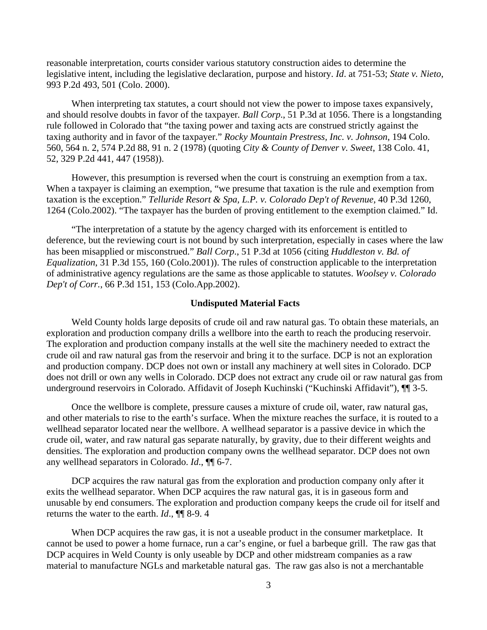reasonable interpretation, courts consider various statutory construction aides to determine the legislative intent, including the legislative declaration, purpose and history. *Id*. at 751-53; *State v. Nieto*, 993 P.2d 493, 501 (Colo. 2000).

When interpreting tax statutes, a court should not view the power to impose taxes expansively, and should resolve doubts in favor of the taxpayer*. Ball Corp*., 51 P.3d at 1056. There is a longstanding rule followed in Colorado that "the taxing power and taxing acts are construed strictly against the taxing authority and in favor of the taxpayer." *Rocky Mountain Prestress, Inc. v. Johnson*, 194 Colo. 560, 564 n. 2, 574 P.2d 88, 91 n. 2 (1978) (quoting *City & County of Denver v. Sweet*, 138 Colo. 41, 52, 329 P.2d 441, 447 (1958)).

However, this presumption is reversed when the court is construing an exemption from a tax. When a taxpayer is claiming an exemption, "we presume that taxation is the rule and exemption from taxation is the exception." *Telluride Resort & Spa, L.P. v. Colorado Dep't of Revenue*, 40 P.3d 1260, 1264 (Colo.2002). "The taxpayer has the burden of proving entitlement to the exemption claimed." Id.

"The interpretation of a statute by the agency charged with its enforcement is entitled to deference, but the reviewing court is not bound by such interpretation, especially in cases where the law has been misapplied or misconstrued." *Ball Corp*., 51 P.3d at 1056 (citing *Huddleston v. Bd. of Equalization*, 31 P.3d 155, 160 (Colo.2001)). The rules of construction applicable to the interpretation of administrative agency regulations are the same as those applicable to statutes. *Woolsey v. Colorado Dep't of Corr.*, 66 P.3d 151, 153 (Colo.App.2002).

## **Undisputed Material Facts**

Weld County holds large deposits of crude oil and raw natural gas. To obtain these materials, an exploration and production company drills a wellbore into the earth to reach the producing reservoir. The exploration and production company installs at the well site the machinery needed to extract the crude oil and raw natural gas from the reservoir and bring it to the surface. DCP is not an exploration and production company. DCP does not own or install any machinery at well sites in Colorado. DCP does not drill or own any wells in Colorado. DCP does not extract any crude oil or raw natural gas from underground reservoirs in Colorado. Affidavit of Joseph Kuchinski ("Kuchinski Affidavit"), ¶¶ 3-5.

Once the wellbore is complete, pressure causes a mixture of crude oil, water, raw natural gas, and other materials to rise to the earth's surface. When the mixture reaches the surface, it is routed to a wellhead separator located near the wellbore. A wellhead separator is a passive device in which the crude oil, water, and raw natural gas separate naturally, by gravity, due to their different weights and densities. The exploration and production company owns the wellhead separator. DCP does not own any wellhead separators in Colorado. *Id*., ¶¶ 6-7.

DCP acquires the raw natural gas from the exploration and production company only after it exits the wellhead separator. When DCP acquires the raw natural gas, it is in gaseous form and unusable by end consumers. The exploration and production company keeps the crude oil for itself and returns the water to the earth. *Id*., ¶¶ 8-9. 4

When DCP acquires the raw gas, it is not a useable product in the consumer marketplace. It cannot be used to power a home furnace, run a car's engine, or fuel a barbeque grill. The raw gas that DCP acquires in Weld County is only useable by DCP and other midstream companies as a raw material to manufacture NGLs and marketable natural gas. The raw gas also is not a merchantable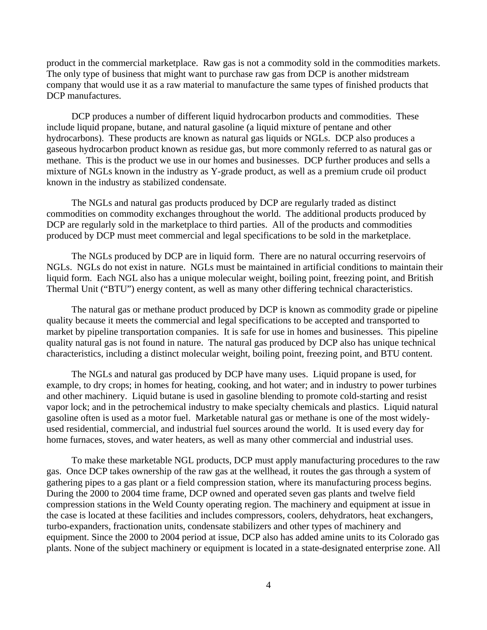product in the commercial marketplace. Raw gas is not a commodity sold in the commodities markets. The only type of business that might want to purchase raw gas from DCP is another midstream company that would use it as a raw material to manufacture the same types of finished products that DCP manufactures.

DCP produces a number of different liquid hydrocarbon products and commodities. These include liquid propane, butane, and natural gasoline (a liquid mixture of pentane and other hydrocarbons). These products are known as natural gas liquids or NGLs. DCP also produces a gaseous hydrocarbon product known as residue gas, but more commonly referred to as natural gas or methane. This is the product we use in our homes and businesses. DCP further produces and sells a mixture of NGLs known in the industry as Y-grade product, as well as a premium crude oil product known in the industry as stabilized condensate.

The NGLs and natural gas products produced by DCP are regularly traded as distinct commodities on commodity exchanges throughout the world. The additional products produced by DCP are regularly sold in the marketplace to third parties. All of the products and commodities produced by DCP must meet commercial and legal specifications to be sold in the marketplace.

The NGLs produced by DCP are in liquid form. There are no natural occurring reservoirs of NGLs. NGLs do not exist in nature. NGLs must be maintained in artificial conditions to maintain their liquid form. Each NGL also has a unique molecular weight, boiling point, freezing point, and British Thermal Unit ("BTU") energy content, as well as many other differing technical characteristics.

The natural gas or methane product produced by DCP is known as commodity grade or pipeline quality because it meets the commercial and legal specifications to be accepted and transported to market by pipeline transportation companies. It is safe for use in homes and businesses. This pipeline quality natural gas is not found in nature. The natural gas produced by DCP also has unique technical characteristics, including a distinct molecular weight, boiling point, freezing point, and BTU content.

The NGLs and natural gas produced by DCP have many uses. Liquid propane is used, for example, to dry crops; in homes for heating, cooking, and hot water; and in industry to power turbines and other machinery. Liquid butane is used in gasoline blending to promote cold-starting and resist vapor lock; and in the petrochemical industry to make specialty chemicals and plastics. Liquid natural gasoline often is used as a motor fuel. Marketable natural gas or methane is one of the most widelyused residential, commercial, and industrial fuel sources around the world. It is used every day for home furnaces, stoves, and water heaters, as well as many other commercial and industrial uses.

To make these marketable NGL products, DCP must apply manufacturing procedures to the raw gas. Once DCP takes ownership of the raw gas at the wellhead, it routes the gas through a system of gathering pipes to a gas plant or a field compression station, where its manufacturing process begins. During the 2000 to 2004 time frame, DCP owned and operated seven gas plants and twelve field compression stations in the Weld County operating region. The machinery and equipment at issue in the case is located at these facilities and includes compressors, coolers, dehydrators, heat exchangers, turbo-expanders, fractionation units, condensate stabilizers and other types of machinery and equipment. Since the 2000 to 2004 period at issue, DCP also has added amine units to its Colorado gas plants. None of the subject machinery or equipment is located in a state-designated enterprise zone. All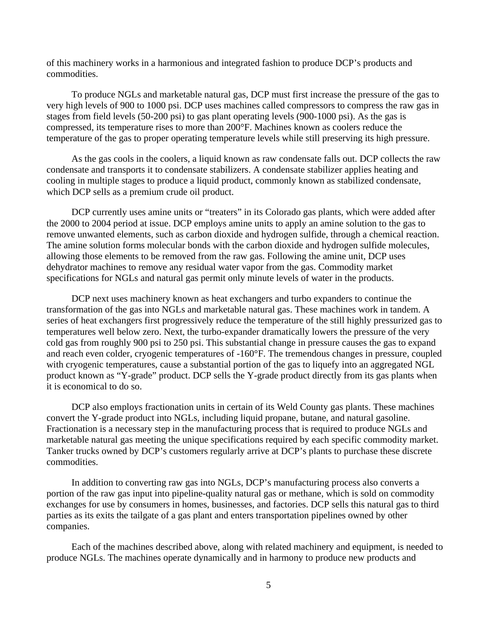of this machinery works in a harmonious and integrated fashion to produce DCP's products and commodities.

To produce NGLs and marketable natural gas, DCP must first increase the pressure of the gas to very high levels of 900 to 1000 psi. DCP uses machines called compressors to compress the raw gas in stages from field levels (50-200 psi) to gas plant operating levels (900-1000 psi). As the gas is compressed, its temperature rises to more than 200°F. Machines known as coolers reduce the temperature of the gas to proper operating temperature levels while still preserving its high pressure.

As the gas cools in the coolers, a liquid known as raw condensate falls out. DCP collects the raw condensate and transports it to condensate stabilizers. A condensate stabilizer applies heating and cooling in multiple stages to produce a liquid product, commonly known as stabilized condensate, which DCP sells as a premium crude oil product.

DCP currently uses amine units or "treaters" in its Colorado gas plants, which were added after the 2000 to 2004 period at issue. DCP employs amine units to apply an amine solution to the gas to remove unwanted elements, such as carbon dioxide and hydrogen sulfide, through a chemical reaction. The amine solution forms molecular bonds with the carbon dioxide and hydrogen sulfide molecules, allowing those elements to be removed from the raw gas. Following the amine unit, DCP uses dehydrator machines to remove any residual water vapor from the gas. Commodity market specifications for NGLs and natural gas permit only minute levels of water in the products.

DCP next uses machinery known as heat exchangers and turbo expanders to continue the transformation of the gas into NGLs and marketable natural gas. These machines work in tandem. A series of heat exchangers first progressively reduce the temperature of the still highly pressurized gas to temperatures well below zero. Next, the turbo-expander dramatically lowers the pressure of the very cold gas from roughly 900 psi to 250 psi. This substantial change in pressure causes the gas to expand and reach even colder, cryogenic temperatures of -160°F. The tremendous changes in pressure, coupled with cryogenic temperatures, cause a substantial portion of the gas to liquefy into an aggregated NGL product known as "Y-grade" product. DCP sells the Y-grade product directly from its gas plants when it is economical to do so.

DCP also employs fractionation units in certain of its Weld County gas plants. These machines convert the Y-grade product into NGLs, including liquid propane, butane, and natural gasoline. Fractionation is a necessary step in the manufacturing process that is required to produce NGLs and marketable natural gas meeting the unique specifications required by each specific commodity market. Tanker trucks owned by DCP's customers regularly arrive at DCP's plants to purchase these discrete commodities.

In addition to converting raw gas into NGLs, DCP's manufacturing process also converts a portion of the raw gas input into pipeline-quality natural gas or methane, which is sold on commodity exchanges for use by consumers in homes, businesses, and factories. DCP sells this natural gas to third parties as its exits the tailgate of a gas plant and enters transportation pipelines owned by other companies.

Each of the machines described above, along with related machinery and equipment, is needed to produce NGLs. The machines operate dynamically and in harmony to produce new products and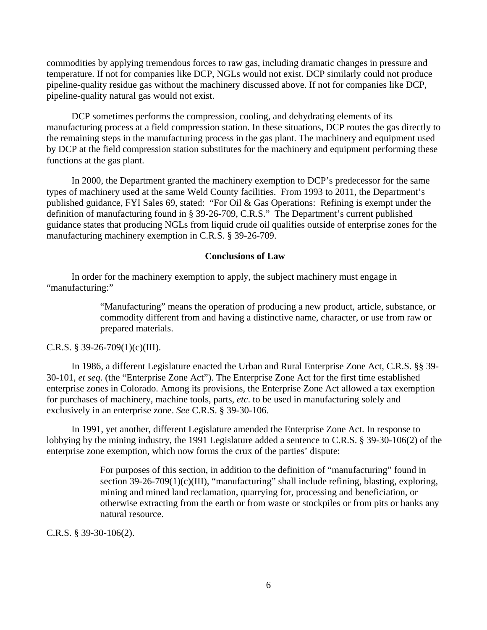commodities by applying tremendous forces to raw gas, including dramatic changes in pressure and temperature. If not for companies like DCP, NGLs would not exist. DCP similarly could not produce pipeline-quality residue gas without the machinery discussed above. If not for companies like DCP, pipeline-quality natural gas would not exist.

DCP sometimes performs the compression, cooling, and dehydrating elements of its manufacturing process at a field compression station. In these situations, DCP routes the gas directly to the remaining steps in the manufacturing process in the gas plant. The machinery and equipment used by DCP at the field compression station substitutes for the machinery and equipment performing these functions at the gas plant.

In 2000, the Department granted the machinery exemption to DCP's predecessor for the same types of machinery used at the same Weld County facilities. From 1993 to 2011, the Department's published guidance, FYI Sales 69, stated: "For Oil & Gas Operations: Refining is exempt under the definition of manufacturing found in § 39-26-709, C.R.S." The Department's current published guidance states that producing NGLs from liquid crude oil qualifies outside of enterprise zones for the manufacturing machinery exemption in C.R.S. § 39-26-709.

#### **Conclusions of Law**

In order for the machinery exemption to apply, the subject machinery must engage in "manufacturing:"

> "Manufacturing" means the operation of producing a new product, article, substance, or commodity different from and having a distinctive name, character, or use from raw or prepared materials.

### C.R.S. § 39-26-709 $(1)(c)(III)$ .

In 1986, a different Legislature enacted the Urban and Rural Enterprise Zone Act, C.R.S. §§ 39- 30-101, *et seq*. (the "Enterprise Zone Act"). The Enterprise Zone Act for the first time established enterprise zones in Colorado. Among its provisions, the Enterprise Zone Act allowed a tax exemption for purchases of machinery, machine tools, parts, *etc*. to be used in manufacturing solely and exclusively in an enterprise zone. *See* C.R.S. § 39-30-106.

In 1991, yet another, different Legislature amended the Enterprise Zone Act. In response to lobbying by the mining industry, the 1991 Legislature added a sentence to C.R.S. § 39-30-106(2) of the enterprise zone exemption, which now forms the crux of the parties' dispute:

> For purposes of this section, in addition to the definition of "manufacturing" found in section 39-26-709(1)(c)(III), "manufacturing" shall include refining, blasting, exploring, mining and mined land reclamation, quarrying for, processing and beneficiation, or otherwise extracting from the earth or from waste or stockpiles or from pits or banks any natural resource.

C.R.S. § 39-30-106(2).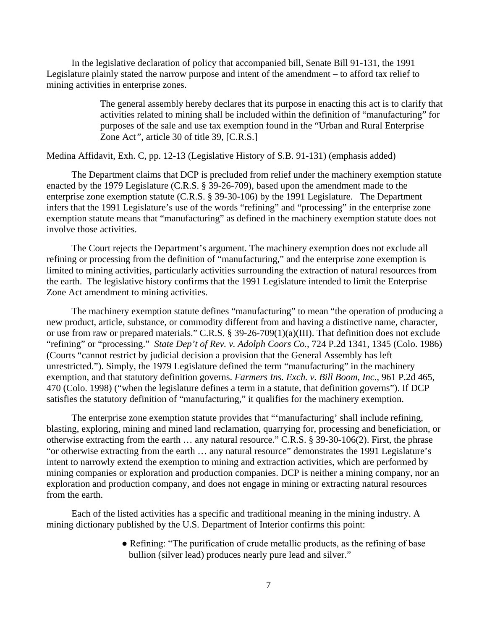In the legislative declaration of policy that accompanied bill, Senate Bill 91-131, the 1991 Legislature plainly stated the narrow purpose and intent of the amendment – to afford tax relief to mining activities in enterprise zones.

> The general assembly hereby declares that its purpose in enacting this act is to clarify that activities related to mining shall be included within the definition of "manufacturing" for purposes of the sale and use tax exemption found in the "Urban and Rural Enterprise Zone Act*"*, article 30 of title 39, [C.R.S.]

Medina Affidavit, Exh. C, pp. 12-13 (Legislative History of S.B. 91-131) (emphasis added)

The Department claims that DCP is precluded from relief under the machinery exemption statute enacted by the 1979 Legislature (C.R.S. § 39-26-709), based upon the amendment made to the enterprise zone exemption statute (C.R.S. § 39-30-106) by the 1991 Legislature. The Department infers that the 1991 Legislature's use of the words "refining" and "processing" in the enterprise zone exemption statute means that "manufacturing" as defined in the machinery exemption statute does not involve those activities.

The Court rejects the Department's argument. The machinery exemption does not exclude all refining or processing from the definition of "manufacturing," and the enterprise zone exemption is limited to mining activities, particularly activities surrounding the extraction of natural resources from the earth. The legislative history confirms that the 1991 Legislature intended to limit the Enterprise Zone Act amendment to mining activities.

The machinery exemption statute defines "manufacturing" to mean "the operation of producing a new product, article, substance, or commodity different from and having a distinctive name, character, or use from raw or prepared materials." C.R.S. § 39-26-709(1)(a)(III). That definition does not exclude "refining" or "processing." *State Dep't of Rev. v. Adolph Coors Co.*, 724 P.2d 1341, 1345 (Colo. 1986) (Courts "cannot restrict by judicial decision a provision that the General Assembly has left unrestricted."). Simply, the 1979 Legislature defined the term "manufacturing" in the machinery exemption, and that statutory definition governs. *Farmers Ins. Exch. v. Bill Boom, Inc.*, 961 P.2d 465, 470 (Colo. 1998) ("when the legislature defines a term in a statute, that definition governs"). If DCP satisfies the statutory definition of "manufacturing," it qualifies for the machinery exemption.

The enterprise zone exemption statute provides that "'manufacturing' shall include refining, blasting, exploring, mining and mined land reclamation, quarrying for, processing and beneficiation, or otherwise extracting from the earth … any natural resource." C.R.S. § 39-30-106(2). First, the phrase "or otherwise extracting from the earth … any natural resource" demonstrates the 1991 Legislature's intent to narrowly extend the exemption to mining and extraction activities, which are performed by mining companies or exploration and production companies. DCP is neither a mining company, nor an exploration and production company, and does not engage in mining or extracting natural resources from the earth.

Each of the listed activities has a specific and traditional meaning in the mining industry. A mining dictionary published by the U.S. Department of Interior confirms this point:

> ● Refining: "The purification of crude metallic products, as the refining of base bullion (silver lead) produces nearly pure lead and silver."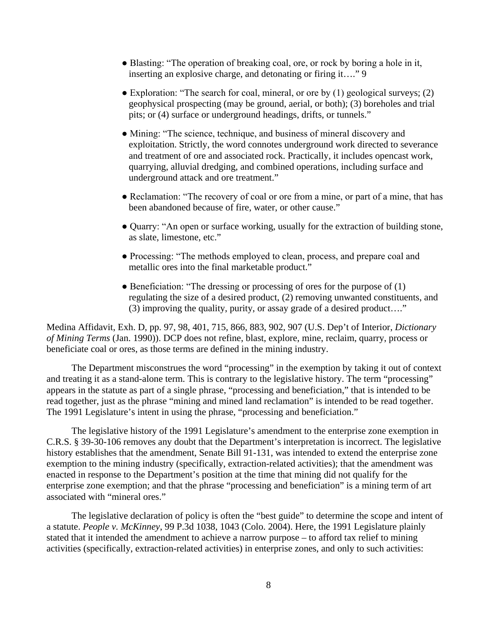- Blasting: "The operation of breaking coal, ore, or rock by boring a hole in it, inserting an explosive charge, and detonating or firing it…." 9
- $\bullet$  Exploration: "The search for coal, mineral, or ore by (1) geological surveys; (2) geophysical prospecting (may be ground, aerial, or both); (3) boreholes and trial pits; or (4) surface or underground headings, drifts, or tunnels."
- Mining: "The science, technique, and business of mineral discovery and exploitation. Strictly, the word connotes underground work directed to severance and treatment of ore and associated rock. Practically, it includes opencast work, quarrying, alluvial dredging, and combined operations, including surface and underground attack and ore treatment."
- Reclamation: "The recovery of coal or ore from a mine, or part of a mine, that has been abandoned because of fire, water, or other cause."
- Quarry: "An open or surface working, usually for the extraction of building stone, as slate, limestone, etc."
- Processing: "The methods employed to clean, process, and prepare coal and metallic ores into the final marketable product."
- Beneficiation: "The dressing or processing of ores for the purpose of (1) regulating the size of a desired product, (2) removing unwanted constituents, and (3) improving the quality, purity, or assay grade of a desired product…."

Medina Affidavit, Exh. D, pp. 97, 98, 401, 715, 866, 883, 902, 907 (U.S. Dep't of Interior, *Dictionary of Mining Terms* (Jan. 1990)). DCP does not refine, blast, explore, mine, reclaim, quarry, process or beneficiate coal or ores, as those terms are defined in the mining industry.

The Department misconstrues the word "processing" in the exemption by taking it out of context and treating it as a stand-alone term. This is contrary to the legislative history. The term "processing" appears in the statute as part of a single phrase, "processing and beneficiation," that is intended to be read together, just as the phrase "mining and mined land reclamation" is intended to be read together. The 1991 Legislature's intent in using the phrase, "processing and beneficiation."

The legislative history of the 1991 Legislature's amendment to the enterprise zone exemption in C.R.S. § 39-30-106 removes any doubt that the Department's interpretation is incorrect. The legislative history establishes that the amendment, Senate Bill 91-131, was intended to extend the enterprise zone exemption to the mining industry (specifically, extraction-related activities); that the amendment was enacted in response to the Department's position at the time that mining did not qualify for the enterprise zone exemption; and that the phrase "processing and beneficiation" is a mining term of art associated with "mineral ores."

The legislative declaration of policy is often the "best guide" to determine the scope and intent of a statute. *People v. McKinney*, 99 P.3d 1038, 1043 (Colo. 2004). Here, the 1991 Legislature plainly stated that it intended the amendment to achieve a narrow purpose – to afford tax relief to mining activities (specifically, extraction-related activities) in enterprise zones, and only to such activities: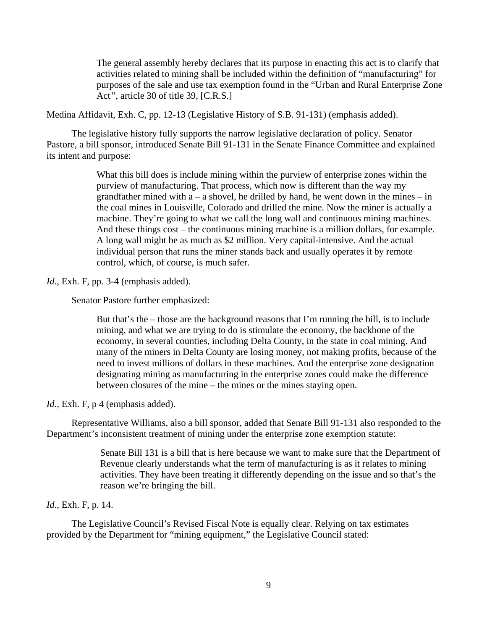The general assembly hereby declares that its purpose in enacting this act is to clarify that activities related to mining shall be included within the definition of "manufacturing" for purposes of the sale and use tax exemption found in the "Urban and Rural Enterprise Zone Act*"*, article 30 of title 39, [C.R.S.]

Medina Affidavit, Exh. C, pp. 12-13 (Legislative History of S.B. 91-131) (emphasis added).

The legislative history fully supports the narrow legislative declaration of policy. Senator Pastore, a bill sponsor, introduced Senate Bill 91-131 in the Senate Finance Committee and explained its intent and purpose:

> What this bill does is include mining within the purview of enterprise zones within the purview of manufacturing. That process, which now is different than the way my grandfather mined with  $a - a$  shovel, he drilled by hand, he went down in the mines – in the coal mines in Louisville, Colorado and drilled the mine. Now the miner is actually a machine. They're going to what we call the long wall and continuous mining machines. And these things cost – the continuous mining machine is a million dollars, for example. A long wall might be as much as \$2 million. Very capital-intensive. And the actual individual person that runs the miner stands back and usually operates it by remote control, which, of course, is much safer.

*Id.*, Exh. F, pp. 3-4 (emphasis added).

Senator Pastore further emphasized:

But that's the – those are the background reasons that I'm running the bill, is to include mining, and what we are trying to do is stimulate the economy, the backbone of the economy, in several counties, including Delta County, in the state in coal mining. And many of the miners in Delta County are losing money, not making profits, because of the need to invest millions of dollars in these machines. And the enterprise zone designation designating mining as manufacturing in the enterprise zones could make the difference between closures of the mine – the mines or the mines staying open.

*Id.*, Exh. F, p 4 (emphasis added).

Representative Williams, also a bill sponsor, added that Senate Bill 91-131 also responded to the Department's inconsistent treatment of mining under the enterprise zone exemption statute:

> Senate Bill 131 is a bill that is here because we want to make sure that the Department of Revenue clearly understands what the term of manufacturing is as it relates to mining activities. They have been treating it differently depending on the issue and so that's the reason we're bringing the bill.

# *Id*., Exh. F, p. 14.

The Legislative Council's Revised Fiscal Note is equally clear. Relying on tax estimates provided by the Department for "mining equipment," the Legislative Council stated: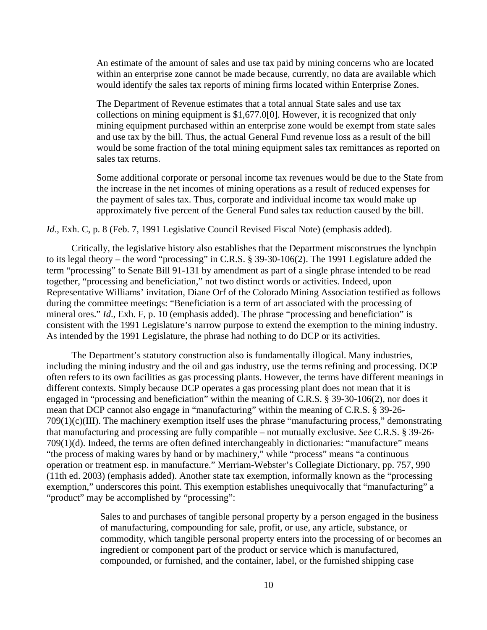An estimate of the amount of sales and use tax paid by mining concerns who are located within an enterprise zone cannot be made because, currently, no data are available which would identify the sales tax reports of mining firms located within Enterprise Zones.

The Department of Revenue estimates that a total annual State sales and use tax collections on mining equipment is \$1,677.0[0]. However, it is recognized that only mining equipment purchased within an enterprise zone would be exempt from state sales and use tax by the bill. Thus, the actual General Fund revenue loss as a result of the bill would be some fraction of the total mining equipment sales tax remittances as reported on sales tax returns.

Some additional corporate or personal income tax revenues would be due to the State from the increase in the net incomes of mining operations as a result of reduced expenses for the payment of sales tax. Thus, corporate and individual income tax would make up approximately five percent of the General Fund sales tax reduction caused by the bill.

*Id.*, Exh. C, p. 8 (Feb. 7, 1991 Legislative Council Revised Fiscal Note) (emphasis added).

Critically, the legislative history also establishes that the Department misconstrues the lynchpin to its legal theory – the word "processing" in C.R.S. § 39-30-106(2). The 1991 Legislature added the term "processing" to Senate Bill 91-131 by amendment as part of a single phrase intended to be read together, "processing and beneficiation," not two distinct words or activities. Indeed, upon Representative Williams' invitation, Diane Orf of the Colorado Mining Association testified as follows during the committee meetings: "Beneficiation is a term of art associated with the processing of mineral ores." *Id.*, Exh. F, p. 10 (emphasis added). The phrase "processing and beneficiation" is consistent with the 1991 Legislature's narrow purpose to extend the exemption to the mining industry. As intended by the 1991 Legislature, the phrase had nothing to do DCP or its activities.

The Department's statutory construction also is fundamentally illogical. Many industries, including the mining industry and the oil and gas industry, use the terms refining and processing. DCP often refers to its own facilities as gas processing plants. However, the terms have different meanings in different contexts. Simply because DCP operates a gas processing plant does not mean that it is engaged in "processing and beneficiation" within the meaning of C.R.S. § 39-30-106(2), nor does it mean that DCP cannot also engage in "manufacturing" within the meaning of C.R.S. § 39-26- 709(1)(c)(III). The machinery exemption itself uses the phrase "manufacturing process," demonstrating that manufacturing and processing are fully compatible – not mutually exclusive. *See* C.R.S. § 39-26- 709(1)(d). Indeed, the terms are often defined interchangeably in dictionaries: "manufacture" means "the process of making wares by hand or by machinery," while "process" means "a continuous operation or treatment esp. in manufacture." Merriam-Webster's Collegiate Dictionary, pp. 757, 990 (11th ed. 2003) (emphasis added). Another state tax exemption, informally known as the "processing exemption," underscores this point. This exemption establishes unequivocally that "manufacturing" a "product" may be accomplished by "processing":

> Sales to and purchases of tangible personal property by a person engaged in the business of manufacturing, compounding for sale, profit, or use, any article, substance, or commodity, which tangible personal property enters into the processing of or becomes an ingredient or component part of the product or service which is manufactured, compounded, or furnished, and the container, label, or the furnished shipping case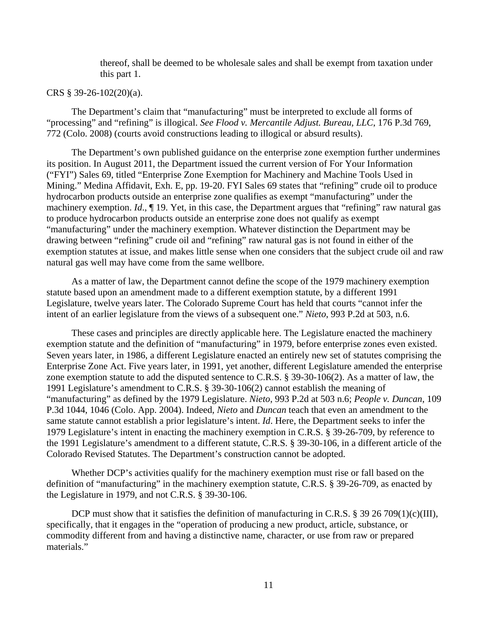thereof, shall be deemed to be wholesale sales and shall be exempt from taxation under this part 1.

### CRS § 39-26-102(20)(a).

The Department's claim that "manufacturing" must be interpreted to exclude all forms of "processing" and "refining" is illogical. *See Flood v. Mercantile Adjust. Bureau, LLC*, 176 P.3d 769, 772 (Colo. 2008) (courts avoid constructions leading to illogical or absurd results).

The Department's own published guidance on the enterprise zone exemption further undermines its position. In August 2011, the Department issued the current version of For Your Information ("FYI") Sales 69, titled "Enterprise Zone Exemption for Machinery and Machine Tools Used in Mining." Medina Affidavit, Exh. E, pp. 19-20. FYI Sales 69 states that "refining" crude oil to produce hydrocarbon products outside an enterprise zone qualifies as exempt "manufacturing" under the machinery exemption. *Id.*,  $\P$  19. Yet, in this case, the Department argues that "refining" raw natural gas to produce hydrocarbon products outside an enterprise zone does not qualify as exempt "manufacturing" under the machinery exemption. Whatever distinction the Department may be drawing between "refining" crude oil and "refining" raw natural gas is not found in either of the exemption statutes at issue, and makes little sense when one considers that the subject crude oil and raw natural gas well may have come from the same wellbore.

As a matter of law, the Department cannot define the scope of the 1979 machinery exemption statute based upon an amendment made to a different exemption statute, by a different 1991 Legislature, twelve years later. The Colorado Supreme Court has held that courts "cannot infer the intent of an earlier legislature from the views of a subsequent one." *Nieto*, 993 P.2d at 503, n.6.

These cases and principles are directly applicable here. The Legislature enacted the machinery exemption statute and the definition of "manufacturing" in 1979, before enterprise zones even existed. Seven years later, in 1986, a different Legislature enacted an entirely new set of statutes comprising the Enterprise Zone Act. Five years later, in 1991, yet another, different Legislature amended the enterprise zone exemption statute to add the disputed sentence to C.R.S. § 39-30-106(2). As a matter of law, the 1991 Legislature's amendment to C.R.S. § 39-30-106(2) cannot establish the meaning of "manufacturing" as defined by the 1979 Legislature. *Nieto*, 993 P.2d at 503 n.6; *People v. Duncan*, 109 P.3d 1044, 1046 (Colo. App. 2004). Indeed, *Nieto* and *Duncan* teach that even an amendment to the same statute cannot establish a prior legislature's intent. *Id*. Here, the Department seeks to infer the 1979 Legislature's intent in enacting the machinery exemption in C.R.S. § 39-26-709, by reference to the 1991 Legislature's amendment to a different statute, C.R.S. § 39-30-106, in a different article of the Colorado Revised Statutes. The Department's construction cannot be adopted.

Whether DCP's activities qualify for the machinery exemption must rise or fall based on the definition of "manufacturing" in the machinery exemption statute, C.R.S. § 39-26-709, as enacted by the Legislature in 1979, and not C.R.S. § 39-30-106.

DCP must show that it satisfies the definition of manufacturing in C.R.S. § 39 26 709(1)(c)(III), specifically, that it engages in the "operation of producing a new product, article, substance, or commodity different from and having a distinctive name, character, or use from raw or prepared materials."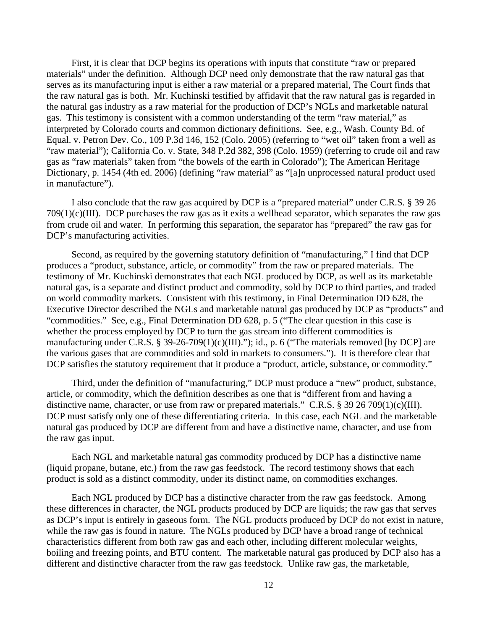First, it is clear that DCP begins its operations with inputs that constitute "raw or prepared materials" under the definition. Although DCP need only demonstrate that the raw natural gas that serves as its manufacturing input is either a raw material or a prepared material, The Court finds that the raw natural gas is both. Mr. Kuchinski testified by affidavit that the raw natural gas is regarded in the natural gas industry as a raw material for the production of DCP's NGLs and marketable natural gas. This testimony is consistent with a common understanding of the term "raw material," as interpreted by Colorado courts and common dictionary definitions. See, e.g., Wash. County Bd. of Equal. v. Petron Dev. Co., 109 P.3d 146, 152 (Colo. 2005) (referring to "wet oil" taken from a well as "raw material"); California Co. v. State, 348 P.2d 382, 398 (Colo. 1959) (referring to crude oil and raw gas as "raw materials" taken from "the bowels of the earth in Colorado"); The American Heritage Dictionary, p. 1454 (4th ed. 2006) (defining "raw material" as "[a]n unprocessed natural product used in manufacture").

I also conclude that the raw gas acquired by DCP is a "prepared material" under C.R.S. § 39 26 709(1)(c)(III). DCP purchases the raw gas as it exits a wellhead separator, which separates the raw gas from crude oil and water. In performing this separation, the separator has "prepared" the raw gas for DCP's manufacturing activities.

Second, as required by the governing statutory definition of "manufacturing," I find that DCP produces a "product, substance, article, or commodity" from the raw or prepared materials. The testimony of Mr. Kuchinski demonstrates that each NGL produced by DCP, as well as its marketable natural gas, is a separate and distinct product and commodity, sold by DCP to third parties, and traded on world commodity markets. Consistent with this testimony, in Final Determination DD 628, the Executive Director described the NGLs and marketable natural gas produced by DCP as "products" and "commodities." See, e.g., Final Determination DD 628, p. 5 ("The clear question in this case is whether the process employed by DCP to turn the gas stream into different commodities is manufacturing under C.R.S. § 39-26-709(1)(c)(III)."); id., p. 6 ("The materials removed [by DCP] are the various gases that are commodities and sold in markets to consumers."). It is therefore clear that DCP satisfies the statutory requirement that it produce a "product, article, substance, or commodity."

Third, under the definition of "manufacturing," DCP must produce a "new" product, substance, article, or commodity, which the definition describes as one that is "different from and having a distinctive name, character, or use from raw or prepared materials." C.R.S. § 39 26 709(1)(c)(III). DCP must satisfy only one of these differentiating criteria. In this case, each NGL and the marketable natural gas produced by DCP are different from and have a distinctive name, character, and use from the raw gas input.

Each NGL and marketable natural gas commodity produced by DCP has a distinctive name (liquid propane, butane, etc.) from the raw gas feedstock. The record testimony shows that each product is sold as a distinct commodity, under its distinct name, on commodities exchanges.

Each NGL produced by DCP has a distinctive character from the raw gas feedstock. Among these differences in character, the NGL products produced by DCP are liquids; the raw gas that serves as DCP's input is entirely in gaseous form. The NGL products produced by DCP do not exist in nature, while the raw gas is found in nature. The NGLs produced by DCP have a broad range of technical characteristics different from both raw gas and each other, including different molecular weights, boiling and freezing points, and BTU content. The marketable natural gas produced by DCP also has a different and distinctive character from the raw gas feedstock. Unlike raw gas, the marketable,